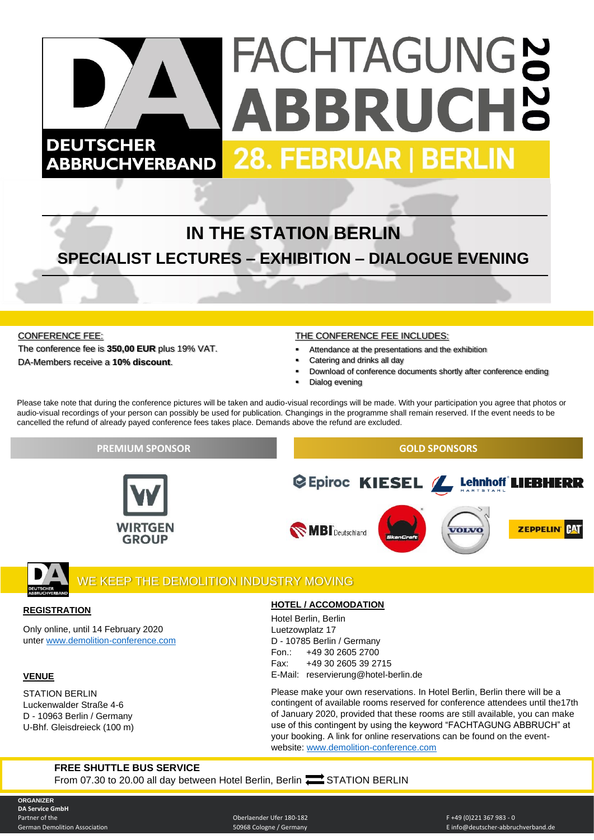# **FACHTAGUNGS ABBRUCH'S DEUTSCHER 28. FEBRUAR | BERLIN ABBRUCHVERBAND**

# **IN THE STATION BERLIN SPECIALIST LECTURES – EXHIBITION – DIALOGUE EVENING**

### CONFERENCE FEE:

The conference fee is **350,00 EUR** plus 19% VAT. DA-Members receive a **10% discount**.

## THE CONFERENCE FEE INCLUDES:

- Attendance at the presentations and the exhibition
- Catering and drinks all day
- Download of conference documents shortly after conference ending
- Dialog evening

Please take note that during the conference pictures will be taken and audio-visual recordings will be made. With your participation you agree that photos or audio-visual recordings of your person can possibly be used for publication. Changings in the programme shall remain reserved. If the event needs to be cancelled the refund of already payed conference fees takes place. Demands above the refund are excluded.

# **PREMIUM SPONSOR GOLD SPONSORS**



CEpiroc KIESEL Lehnhoff LIEBHERR **MBI** Deutschland **ZEPPELIN** 



# WE KEEP THE DEMOLITION INDUSTRY MOVING

# **REGISTRATION**

Only online, until 14 February 2020 unter [www.demolition-conference.com](http://www.demolition-conference.com/)

# **VENUE**

STATION BERLIN Luckenwalder Straße 4-6 D - 10963 Berlin / Germany U-Bhf. Gleisdreieck (100 m)

## **HOTEL / ACCOMODATION**

Hotel Berlin, Berlin Luetzowplatz 17 D - 10785 Berlin / Germany Fon.: +49 30 2605 2700 Fax: +49 30 2605 39 2715 E-Mail: reservierung@hotel-berlin.de

Please make your own reservations. In Hotel Berlin, Berlin there will be a contingent of available rooms reserved for conference attendees until the17th of January 2020, provided that these rooms are still available, you can make use of this contingent by using the keyword "FACHTAGUNG ABBRUCH" at your booking. A link for online reservations can be found on the eventwebsite: [www.demolition-conference.com](http://www.demolition-conference.com/)

# **FREE SHUTTLE BUS SERVICE** From 07.30 to 20.00 all day between Hotel Berlin, Berlin **TO** STATION BERLIN

**ORGANIZER DA Service GmbH** Partner of the Contract of the Oberlaender Ufer 180-182<br>Partner of the Oberlaender Ufer 180-182 F +49 (0)221 367 983 - 0<br>German Demolition Association

German Demolition Association 50968 Cologne / Germany E info@deutscher-abbruchverband.de